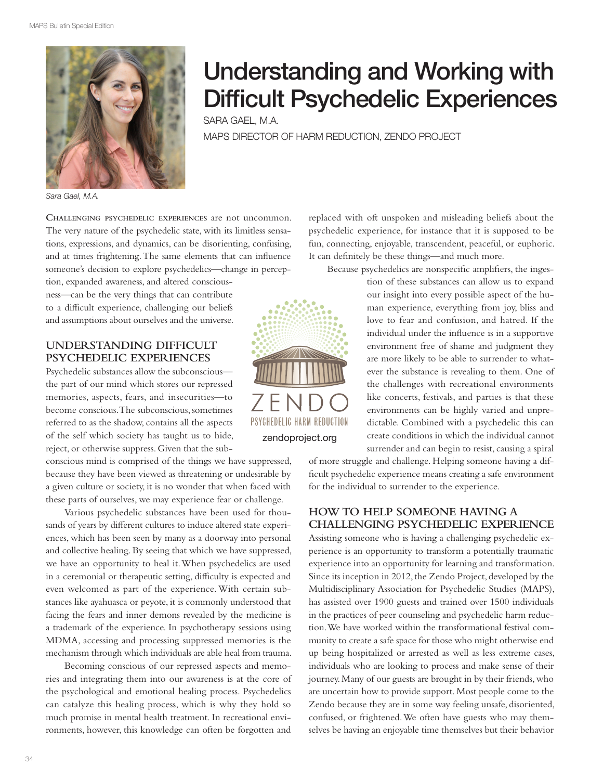

# Understanding and Working with Difficult Psychedelic Experiences

SARA GAEL, M.A. MAPS DIRECTOR OF HARM REDUCTION, ZENDO PROJECT

*Sara Gael, M.A.*

**CHALLENGING PSYCHEDELIC EXPERIENCES** are not uncommon. The very nature of the psychedelic state, with its limitless sensations, expressions, and dynamics, can be disorienting, confusing, and at times frightening. The same elements that can infuence someone's decision to explore psychedelics—change in percep-

tion, expanded awareness, and altered consciousness—can be the very things that can contribute to a difficult experience, challenging our beliefs and assumptions about ourselves and the universe.

#### **UNDERSTANDING DIFFICULT PSYCHEDELIC EXPERIENCES**

Psychedelic substances allow the subconscious the part of our mind which stores our repressed memories, aspects, fears, and insecurities—to become conscious. The subconscious, sometimes referred to as the shadow, contains all the aspects of the self which society has taught us to hide, reject, or otherwise suppress. Given that the sub-

conscious mind is comprised of the things we have suppressed, because they have been viewed as threatening or undesirable by a given culture or society, it is no wonder that when faced with these parts of ourselves, we may experience fear or challenge.

Various psychedelic substances have been used for thousands of years by diferent cultures to induce altered state experiences, which has been seen by many as a doorway into personal and collective healing. By seeing that which we have suppressed, we have an opportunity to heal it. When psychedelics are used in a ceremonial or therapeutic setting, difficulty is expected and even welcomed as part of the experience. With certain substances like ayahuasca or peyote, it is commonly understood that facing the fears and inner demons revealed by the medicine is a trademark of the experience. In psychotherapy sessions using MDMA, accessing and processing suppressed memories is the mechanism through which individuals are able heal from trauma.

Becoming conscious of our repressed aspects and memories and integrating them into our awareness is at the core of the psychological and emotional healing process. Psychedelics can catalyze this healing process, which is why they hold so much promise in mental health treatment. In recreational environments, however, this knowledge can often be forgotten and



replaced with oft unspoken and misleading beliefs about the psychedelic experience, for instance that it is supposed to be fun, connecting, enjoyable, transcendent, peaceful, or euphoric. It can defnitely be these things—and much more.

Because psychedelics are nonspecifc amplifers, the inges-

tion of these substances can allow us to expand our insight into every possible aspect of the human experience, everything from joy, bliss and love to fear and confusion, and hatred. If the individual under the infuence is in a supportive environment free of shame and judgment they are more likely to be able to surrender to whatever the substance is revealing to them. One of the challenges with recreational environments like concerts, festivals, and parties is that these environments can be highly varied and unpredictable. Combined with a psychedelic this can create conditions in which the individual cannot surrender and can begin to resist, causing a spiral

of more struggle and challenge. Helping someone having a difficult psychedelic experience means creating a safe environment for the individual to surrender to the experience.

### **HOW TO HELP SOMEONE HAVING A CHALLENGING PSYCHEDELIC EXPERIENCE**

Assisting someone who is having a challenging psychedelic experience is an opportunity to transform a potentially traumatic experience into an opportunity for learning and transformation. Since its inception in 2012, the Zendo Project, developed by the Multidisciplinary Association for Psychedelic Studies (MAPS), has assisted over 1900 guests and trained over 1500 individuals in the practices of peer counseling and psychedelic harm reduction. We have worked within the transformational festival community to create a safe space for those who might otherwise end up being hospitalized or arrested as well as less extreme cases, individuals who are looking to process and make sense of their journey. Many of our guests are brought in by their friends, who are uncertain how to provide support. Most people come to the Zendo because they are in some way feeling unsafe, disoriented, confused, or frightened. We often have guests who may themselves be having an enjoyable time themselves but their behavior